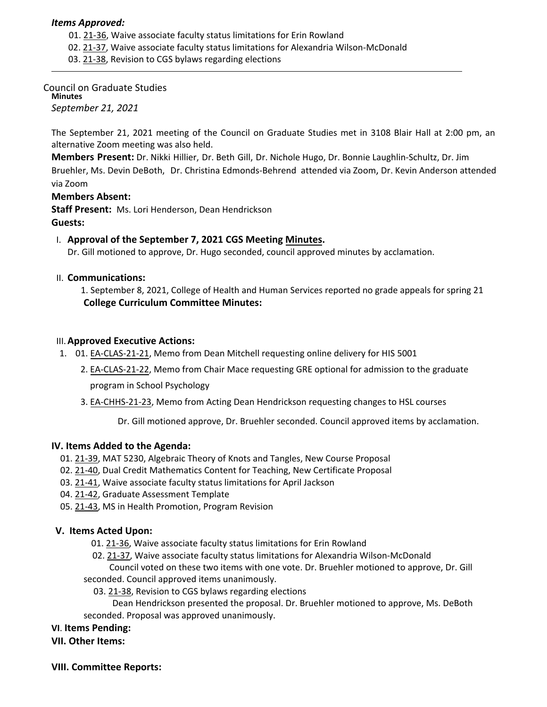### *Items Approved:*

- 01. [21](https://castle.eiu.edu/eiucgs/currentagendaitems/agenda21-36.pdf)‐36, Waive associate faculty status limitations for Erin Rowland
- 02. 21‐[37,](https://castle.eiu.edu/eiucgs/currentagendaitems/agenda21-37.pdf) Waive associate faculty status limitations for Alexandria Wilson‐McDonald
- 03. 21‐[38,](https://castle.eiu.edu/eiucgs/currentagendaitems/agenda21-38.pdf) Revision to CGS bylaws regarding elections

Council on Graduate Studies **Minutes** *September 21, 2021*

The September 21, 2021 meeting of the Council on Graduate Studies met in 3108 Blair Hall at 2:00 pm, an alternative Zoom meeting was also held.

**Members Present:** Dr. Nikki Hillier, Dr. Beth Gill, Dr. Nichole Hugo, Dr. Bonnie Laughlin-Schultz, Dr. Jim Bruehler, Ms. Devin DeBoth, Dr. Christina Edmonds‐Behrend attended via Zoom, Dr. Kevin Anderson attended via Zoom

**Members Absent:**

**Staff Present:** Ms. Lori Henderson, Dean Hendrickson **Guests:**

# I. **Approval of the September 7, 2021 CGS Meeting [Minutes.](https://castle.eiu.edu/eiucgs/currentminutes/Minutes9-21-21.pdf)**

Dr. Gill motioned to approve, Dr. Hugo seconded, council approved minutes by acclamation.

### II. **Communications:**

1. September 8, 2021, College of Health and Human Services reported no grade appeals for spring 21 **College Curriculum Committee Minutes:**

#### III.**Approved Executive Actions:**

- 1. 01. EA‐[CLAS](https://castle.eiu.edu/eiucgs/exec-actions/EA-CLAS-21-21.pdf)‐21‐21, Memo from Dean Mitchell requesting online delivery for HIS 5001
	- 2. EA‐[CLAS](https://castle.eiu.edu/eiucgs/exec-actions/EA-CLAS-21-22.pdf)‐21‐22, Memo from Chair Mace requesting GRE optional for admission to the graduate

program in School Psychology

3. EA‐[CHHS](https://castle.eiu.edu/eiucgs/exec-actions/EA-CHHS-21-23.pdf)‐21‐23, Memo from Acting Dean Hendrickson requesting changes to HSL courses

Dr. Gill motioned approve, Dr. Bruehler seconded. Council approved items by acclamation.

# **IV. Items Added to the Agenda:**

- 01. [21](https://castle.eiu.edu/eiucgs/currentagendaitems/agenda21-39.pdf)‐39, MAT 5230, Algebraic Theory of Knots and Tangles, New Course Proposal
- 02. 21‐[40,](https://castle.eiu.edu/eiucgs/currentagendaitems/agenda21-40.pdf) Dual Credit Mathematics Content for Teaching, New Certificate Proposal
- 03. [21](https://castle.eiu.edu/eiucgs/currentagendaitems/agenda21-41.pdf)‐41, Waive associate faculty status limitations for April Jackson
- 04. [21](https://castle.eiu.edu/eiucgs/currentagendaitems/agenda21-42.pdf)‐42, Graduate Assessment Template
- 05. 21‐[43,](https://castle.eiu.edu/eiucgs/currentagendaitems/agenda21-43.pdf) MS in Health Promotion, Program Revision

# **V. Items Acted Upon:**

- 01. 21‐[36,](https://castle.eiu.edu/eiucgs/currentagendaitems/agenda21-36.pdf) Waive associate faculty status limitations for Erin Rowland
- 02. 21‐[37,](https://castle.eiu.edu/eiucgs/currentagendaitems/agenda21-37.pdf) Waive associate faculty status limitations for Alexandria Wilson‐McDonald

Council voted on these two items with one vote. Dr. Bruehler motioned to approve, Dr. Gill seconded. Council approved items unanimously.

03. [21](https://castle.eiu.edu/eiucgs/currentagendaitems/agenda21-38.pdf)‐38, Revision to CGS bylaws regarding elections

Dean Hendrickson presented the proposal. Dr. Bruehler motioned to approve, Ms. DeBoth seconded. Proposal was approved unanimously.

### **VI**. **Items Pending:**

**VII. Other Items:**

#### **VIII. Committee Reports:**